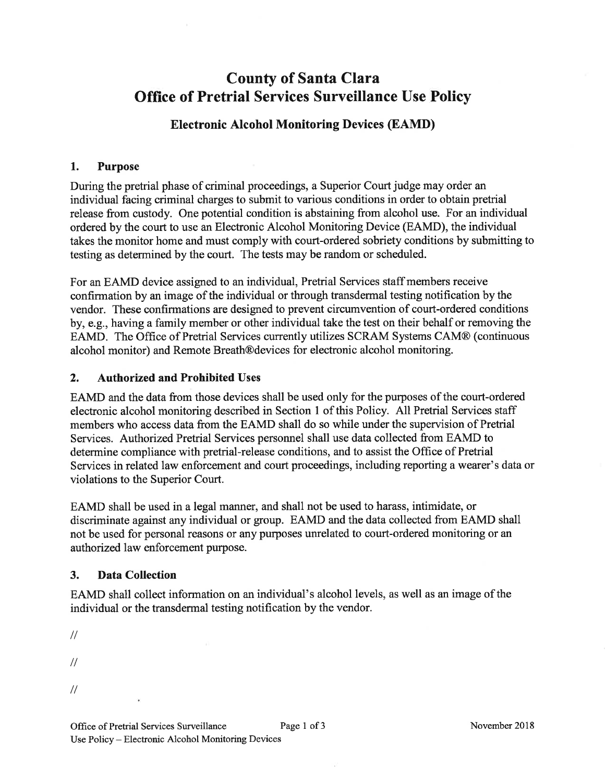# County of Santa Clara Office of Pretrial Services Surveillance Use Policy

## Electronic Alcohol Monitoring Devices (EAMD)

#### 1. Purpose

During the pretrial phase of criminal proceedings, a Superior Court judge may order an individual facing criminal charges to submit to various conditions in order to obtain pretrial release from custody. One potential condition is abstaining from alcohol use. For an individual ordered by the court to use an Electronic Alcohol Monitoring Device (EAMD), the individual takes the monitor home and must comply with court-ordered sobriety conditions by submitting to testing as determined by the court. The tests may be random or scheduled.

For an EAMD device assigned to an individual, Pretrial Services staff members receive confirmation by an image of the individual or through transdermal testing notification by the vendor. These confirmations are designed to prevent circumvention of court-ordered conditions by, e.g., having a family member or other individual take the test on their behalf or rernoving the EAMD. The Office of Pretrial Services currently utilizes SCRAM Systems CAM@ (continuous alcohol monitor) and Remote Breath@devices for electronic alcohol monitoring.

#### 2. Authorized and Prohibited Uses

EAMD and the data from those devices shall be used only for the purposes of the court-ordered electronic alcohol monitoring described in Section I of this Policy. All Pretrial Services staff members who access data from the EAMD shall do so while under the supervision of Pretrial Services. Authorized Pretrial Services personnel shall use data collected from EAMD to determine compliance with pretrial-release conditions, and to assist the Office of Pretrial Services in related law enforcement and court proceedings, including reporting a wearer's data or violations to the Superior Court.

EAMD shall be used in alegal manner, and shall not be used to harass, intimidate, or discriminate against any individual or group. EAMD and the data collected from EAMD shall not be used for personal reasons or any purposes unrelated to court-ordered monitoring or an authorized law enforcement purpose.

## 3. Data Collection

EAMD shall collect information on an individual's alcohol levels, as well as an image of the individual or the transdermal testing notification by the vendor.

 $\frac{1}{2}$ 

- $\frac{1}{2}$
- 
- $\frac{1}{2}$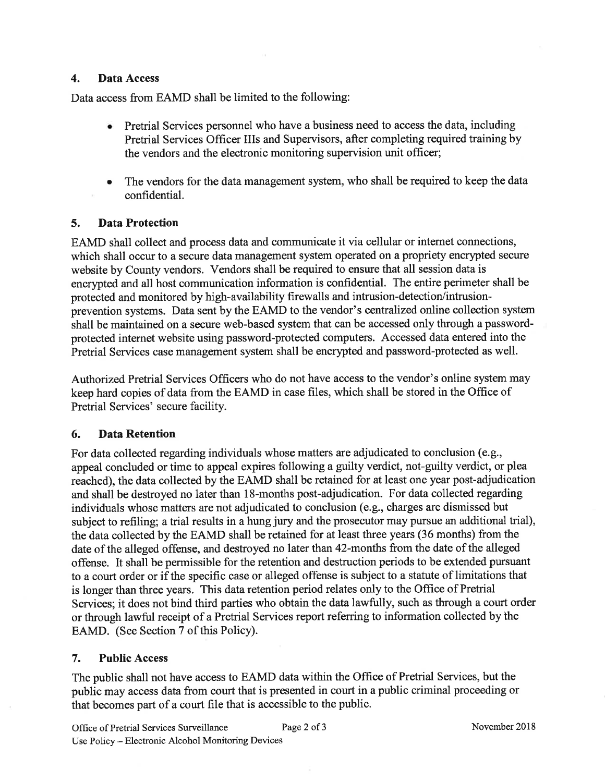#### 4. Data Access

Data access from EAMD shall be limited to the following:

- o Pretrial Services personnel who have a business need to access the data, including Pretrial Services Officer IIIs and Supervisors, after completing required training by the vendors and the electronic monitoring supervision unit officer;
- The vendors for the data management system, who shall be required to keep the data confidential. a

## 5. Data Protection

EAMD shall collect and process data and communicate it via cellular or internet connections, which shall occur to a secure data management system operated on a propriety encrypted secure website by County vendors. Vendors shall be required to ensure that all session data is encrypted and all host communication information is confidential. The entire perimeter shall be protected and monitored by high-availability firewalls and intrusion-detection/intrusionprevention systems. Data sent by the EAMD to the vendor's centralized online collection system shall be maintained on a secure web-based system that can be accessed only through a passwordprotected intemet website using password-protected computers. Accessed data entered into the Pretrial Services case management system shall be encrypted and password-protected as well.

Authorized Pretrial Services Officers who do not have access to the vendor's online system may keep hard copies of data from the EAMD in case files, which shall be stored in the Office of Pretrial Services' secure facility.

## 6. Data Retention

For data collected regarding individuals whose matters are adjudicated to conclusion (e.g., appeal concluded or time to appeal expires following a guilty verdict, not-guilty verdict, or plea reached), the data collected by the EAMD shall be retained for at least one year post-adjudication and shall be destroyed no later than 18-months post-adjudication. For data collected regarding individuals whose matters are not adjudicated to conclusion (e.g., charges are dismissed but subject to refiling; a trial results in a hung jury and the prosecutor may pursue an additional trial), the data collected by the EAMD shall be retained for at least three years (36 months) from the date of the alleged offense, and destroyed no later than 42-months from the date of the alleged offense. It shall be permissible for the retention and destruction periods to be extended pursuant to a court order or if the specific case or alleged offense is subject to a statute of limitations that is longer than three years. This data retention period relates only to the Office of Pretrial Services; it does not bind third parties who obtain the data lawfully, such as through a court order or through lawful receipt of a Pretrial Services report referring to information collected by the EAMD. (See Section 7 of this Policy).

## 7. Public Access

The public shall not have access to EAMD data within the Office of Pretrial Services, but the public may access data from court that is presented in court in a public criminal proceeding or that becomes part of a court file that is accessible to the public.